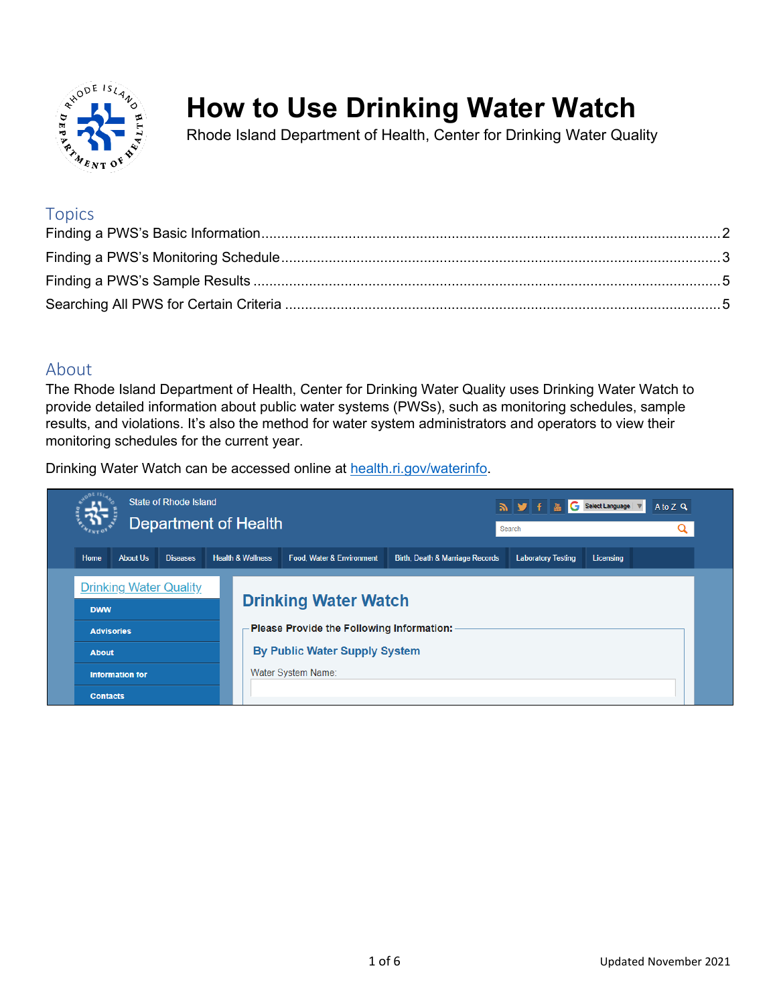

# **How to Use Drinking Water Watch**

Rhode Island Department of Health, Center for Drinking Water Quality

## **Topics**

## About

The Rhode Island Department of Health, Center for Drinking Water Quality uses Drinking Water Watch to provide detailed information about public water systems (PWSs), such as monitoring schedules, sample results, and violations. It's also the method for water system administrators and operators to view their monitoring schedules for the current year.

Drinking Water Watch can be accessed online at [health.ri.gov/waterinfo.](https://dwq.health.ri.gov/DWW/JSP/SearchDispatch)

<span id="page-0-0"></span>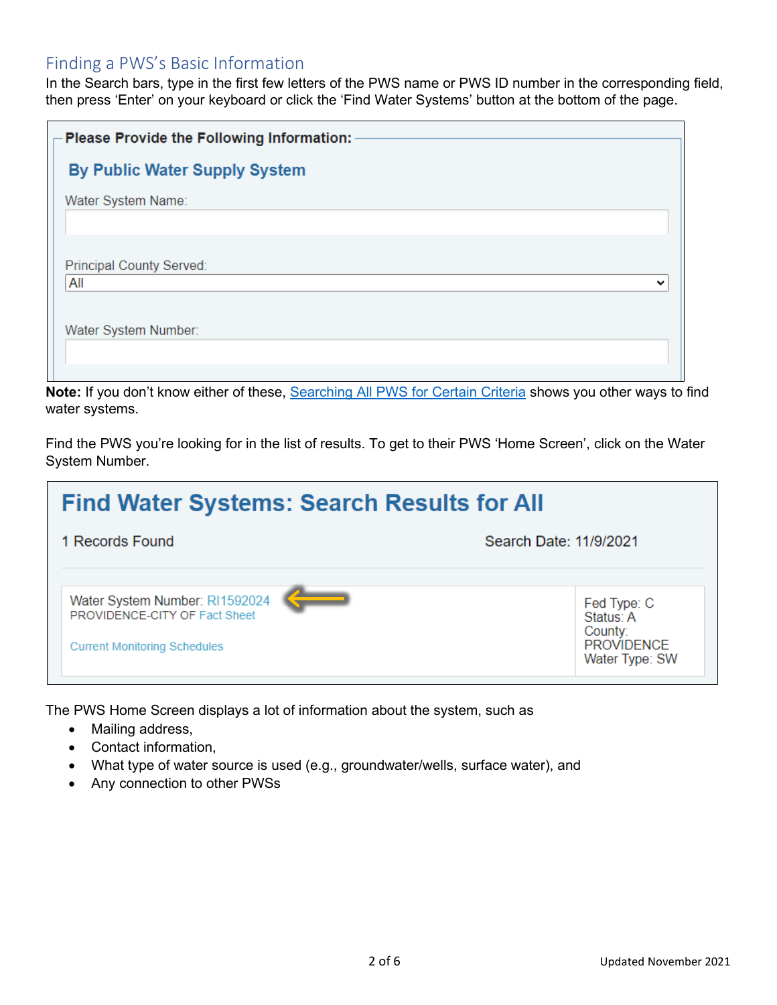## Finding a PWS's Basic Information

In the Search bars, type in the first few letters of the PWS name or PWS ID number in the corresponding field, then press 'Enter' on your keyboard or click the 'Find Water Systems' button at the bottom of the page.

| $-$ Please Provide the Following Information: $\cdot$ |  |
|-------------------------------------------------------|--|
| <b>By Public Water Supply System</b>                  |  |
| Water System Name:                                    |  |
|                                                       |  |
| Principal County Served:                              |  |
| All<br>$\check{ }$                                    |  |
| Water System Number:                                  |  |
|                                                       |  |
|                                                       |  |

**Note:** If you don't know either of these, [Searching All PWS for Certain Criteria](#page-4-1) shows you other ways to find water systems.

Find the PWS you're looking for in the list of results. To get to their PWS 'Home Screen', click on the Water System Number.



The PWS Home Screen displays a lot of information about the system, such as

- Mailing address,
- Contact information,
- What type of water source is used (e.g., groundwater/wells, surface water), and
- Any connection to other PWSs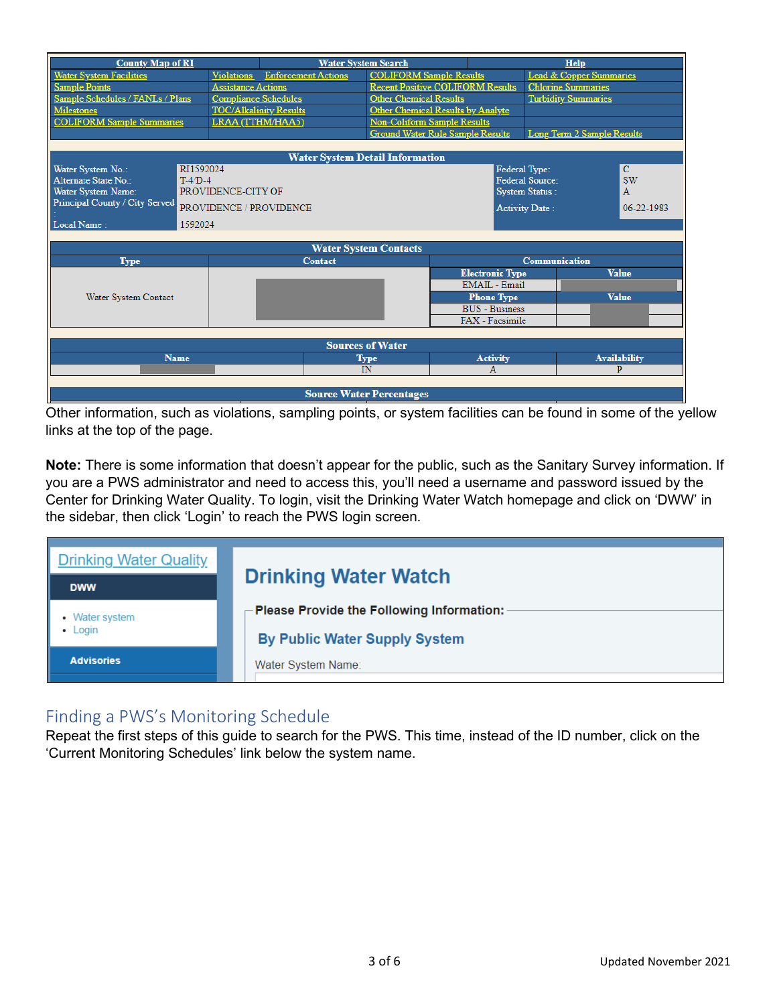| <b>County Map of RI</b>           |                             | <b>Water System Search</b>            |                                          |                        | <b>Help</b>                        |                     |
|-----------------------------------|-----------------------------|---------------------------------------|------------------------------------------|------------------------|------------------------------------|---------------------|
| <b>Water System Facilities</b>    |                             | <b>Violations</b> Enforcement Actions | <b>COLIFORM Sample Results</b>           |                        | <b>Lead &amp; Copper Summaries</b> |                     |
| <b>Sample Points</b>              | <b>Assistance Actions</b>   |                                       | <b>Recent Positive COLIFORM Results</b>  |                        | <b>Chlorine Summaries</b>          |                     |
| Sample Schedules / FANLs / Plans  | <b>Compliance Schedules</b> |                                       | <b>Other Chemical Results</b>            |                        | <b>Turbidity Summaries</b>         |                     |
| <b>Milestones</b>                 |                             | <b>TOC/Alkalinity Results</b>         | <b>Other Chemical Results by Analyte</b> |                        |                                    |                     |
| <b>COLIFORM Sample Summaries</b>  |                             | LRAA (TTHM/HAA5)                      | <b>Non-Coliform Sample Results</b>       |                        |                                    |                     |
|                                   |                             |                                       | <b>Ground Water Rule Sample Results</b>  |                        | <b>Long Term 2 Sample Results</b>  |                     |
|                                   |                             |                                       |                                          |                        |                                    |                     |
|                                   |                             |                                       | <b>Water System Detail Information</b>   |                        |                                    |                     |
| RT1592024<br>Water System No.:    |                             |                                       |                                          | Federal Type:          |                                    | $\mathbf C$         |
| Alternate State No.:<br>$T-4/D-4$ |                             |                                       |                                          |                        | <b>Federal Source:</b>             | <b>SW</b>           |
| Water System Name:                | PROVIDENCE-CITY OF          |                                       |                                          |                        | <b>System Status:</b>              | $\overline{A}$      |
| Principal County / City Served    |                             | PROVIDENCE / PROVIDENCE               |                                          |                        | <b>Activity Date:</b>              | 06-22-1983          |
| Local Name:<br>1592024            |                             |                                       |                                          |                        |                                    |                     |
|                                   |                             |                                       |                                          |                        |                                    |                     |
|                                   |                             |                                       | <b>Water System Contacts</b>             |                        |                                    |                     |
| <b>Type</b>                       |                             | <b>Contact</b>                        |                                          |                        | <b>Communication</b>               |                     |
|                                   |                             |                                       |                                          | <b>Electronic Type</b> |                                    | <b>Value</b>        |
|                                   |                             |                                       |                                          | <b>EMAIL</b> - Email   |                                    |                     |
| Water System Contact              |                             |                                       |                                          | <b>Phone Type</b>      |                                    | <b>Value</b>        |
|                                   |                             |                                       |                                          | <b>BUS</b> - Business  |                                    |                     |
|                                   |                             |                                       |                                          | FAX - Facsimile        |                                    |                     |
|                                   |                             |                                       |                                          |                        |                                    |                     |
| <b>Sources of Water</b>           |                             |                                       |                                          |                        |                                    |                     |
| <b>Name</b>                       |                             |                                       | <b>Type</b>                              | <b>Activity</b>        |                                    | <b>Availability</b> |
|                                   |                             |                                       | IN                                       | A                      |                                    | P                   |
|                                   |                             |                                       |                                          |                        |                                    |                     |
| <b>Source Water Percentages</b>   |                             |                                       |                                          |                        |                                    |                     |

Other information, such as violations, sampling points, or system facilities can be found in some of the yellow links at the top of the page.

**Note:** There is some information that doesn't appear for the public, such as the Sanitary Survey information. If you are a PWS administrator and need to access this, you'll need a username and password issued by the Center for Drinking Water Quality. To login, visit the Drinking Water Watch homepage and click on 'DWW' in the sidebar, then click 'Login' to reach the PWS login screen.

<span id="page-2-0"></span>

| <b>Drinking Water Quality</b><br><b>DWW</b> | <b>Drinking Water Watch</b>                                                                                                    |
|---------------------------------------------|--------------------------------------------------------------------------------------------------------------------------------|
| Water system<br>Login                       | $\mathop{\rule{0pt}{0pt}{\text{-}}}$ Please Provide the Following Information: $\cdot$<br><b>By Public Water Supply System</b> |
| <b>Advisories</b>                           | Water System Name:                                                                                                             |

# Finding a PWS's Monitoring Schedule

Repeat the first steps of this guide to search for the PWS. This time, instead of the ID number, click on the 'Current Monitoring Schedules' link below the system name.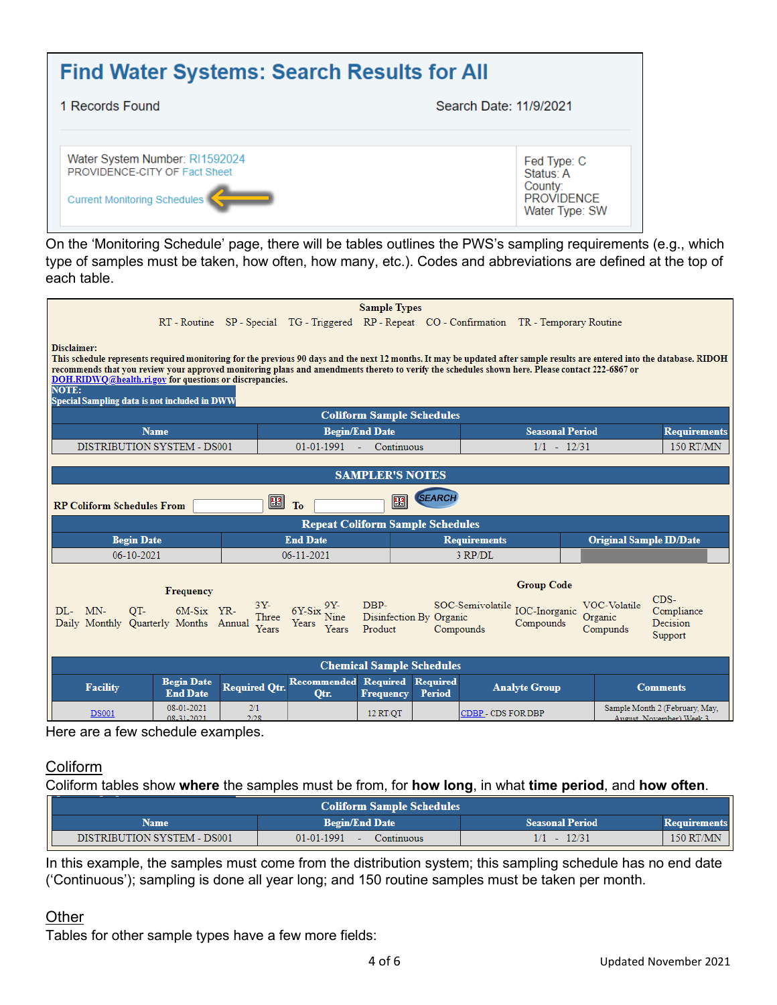#### **Find Water Systems: Search Results for All** 1 Records Found Search Date: 11/9/2021 Water System Number: RI1592024 Fed Type: C PROVIDENCE-CITY OF Fact Sheet Status: A County: **PROVIDENCE** Current Monitoring Schedules Water Type: SW

On the 'Monitoring Schedule' page, there will be tables outlines the PWS's sampling requirements (e.g., which type of samples must be taken, how often, how many, etc.). Codes and abbreviations are defined at the top of each table.

|                                                                                                                                                                                                                                                                                                                                                                                                                                                                        |                      |                            | <b>Sample Types</b>                     |                                  |                                                                                               |                        |                                |                                                            |
|------------------------------------------------------------------------------------------------------------------------------------------------------------------------------------------------------------------------------------------------------------------------------------------------------------------------------------------------------------------------------------------------------------------------------------------------------------------------|----------------------|----------------------------|-----------------------------------------|----------------------------------|-----------------------------------------------------------------------------------------------|------------------------|--------------------------------|------------------------------------------------------------|
|                                                                                                                                                                                                                                                                                                                                                                                                                                                                        |                      |                            |                                         |                                  | RT - Routine SP - Special TG - Triggered RP - Repeat CO - Confirmation TR - Temporary Routine |                        |                                |                                                            |
| Disclaimer:<br>This schedule represents required monitoring for the previous 90 days and the next 12 months. It may be updated after sample results are entered into the database. RIDOH<br>recommends that you review your approved monitoring plans and amendments thereto to verify the schedules shown here. Please contact 222-6867 or<br>DOH.RIDWQ@health.ri.gov for questions or discrepancies.<br><b>NOTE:</b><br>Special Sampling data is not included in DWW |                      |                            |                                         |                                  |                                                                                               |                        |                                |                                                            |
|                                                                                                                                                                                                                                                                                                                                                                                                                                                                        |                      |                            | <b>Coliform Sample Schedules</b>        |                                  |                                                                                               |                        |                                |                                                            |
| <b>Name</b>                                                                                                                                                                                                                                                                                                                                                                                                                                                            |                      |                            | <b>Begin/End Date</b>                   |                                  |                                                                                               | <b>Seasonal Period</b> |                                | <b>Requirements</b>                                        |
| DISTRIBUTION SYSTEM - DS001                                                                                                                                                                                                                                                                                                                                                                                                                                            |                      | 01-01-1991                 | Continuous                              |                                  |                                                                                               | $1/1 - 12/31$          |                                | 150 RT/MN                                                  |
|                                                                                                                                                                                                                                                                                                                                                                                                                                                                        |                      |                            | <b>SAMPLER'S NOTES</b>                  |                                  |                                                                                               |                        |                                |                                                            |
| <b>RP Coliform Schedules From</b>                                                                                                                                                                                                                                                                                                                                                                                                                                      | 圈                    | To                         | Œ                                       | <i><b>SEARCH</b></i>             |                                                                                               |                        |                                |                                                            |
|                                                                                                                                                                                                                                                                                                                                                                                                                                                                        |                      |                            | <b>Repeat Coliform Sample Schedules</b> |                                  |                                                                                               |                        |                                |                                                            |
| <b>Begin Date</b>                                                                                                                                                                                                                                                                                                                                                                                                                                                      |                      | <b>End Date</b>            |                                         |                                  | <b>Requirements</b>                                                                           |                        | <b>Original Sample ID/Date</b> |                                                            |
| 06-10-2021                                                                                                                                                                                                                                                                                                                                                                                                                                                             |                      | 06-11-2021                 |                                         |                                  | 3 RP/DL                                                                                       |                        |                                |                                                            |
| <b>Group Code</b><br><b>Frequency</b><br>$CDS-$<br>DBP-<br><b>VOC-Volatile</b><br>$3Y-$<br>SOC-Semivolatile <sub>IOC-Inorganic</sub><br>$6Y-Six$ Nine<br>MN-<br>OT-<br>$DI -$<br>$6M-Six$ YR-<br>Compliance<br>Three<br>Disinfection By Organic<br>Organic<br>Daily Monthly Quarterly Months Annual<br>Compounds<br>Decision<br>Years<br>Years<br>Years<br>Product<br>Compunds<br>Compounds<br>Support                                                                 |                      |                            |                                         |                                  |                                                                                               |                        |                                |                                                            |
|                                                                                                                                                                                                                                                                                                                                                                                                                                                                        |                      |                            | <b>Chemical Sample Schedules</b>        |                                  |                                                                                               |                        |                                |                                                            |
| <b>Begin Date</b><br><b>Facility</b><br><b>End Date</b>                                                                                                                                                                                                                                                                                                                                                                                                                | <b>Required Otr.</b> | <b>Recommended</b><br>Otr. | <b>Required</b><br><b>Frequency</b>     | <b>Required</b><br><b>Period</b> | <b>Analyte Group</b>                                                                          |                        |                                | <b>Comments</b>                                            |
| 08-01-2021<br><b>DS001</b><br>08-31-2021                                                                                                                                                                                                                                                                                                                                                                                                                               | 2/1<br>2/28          |                            | 12 RT/OT                                |                                  | CDBP - CDS FOR DBP                                                                            |                        |                                | Sample Month 2 (February, May,<br>August, November) Week 3 |

Here are a few schedule examples.

## Coliform

Coliform tables show **where** the samples must be from, for **how long**, in what **time period**, and **how often**.

| <b>Coliform Sample Schedules</b> |                          |                        |                  |  |  |  |
|----------------------------------|--------------------------|------------------------|------------------|--|--|--|
| Name                             | <b>Begin/End Date</b>    | <b>Seasonal Period</b> |                  |  |  |  |
| DISTRIBUTION SYSTEM - DS001      | 01-01-1991<br>Continuous | 12/31                  | <b>150 RT/MN</b> |  |  |  |

In this example, the samples must come from the distribution system; this sampling schedule has no end date ('Continuous'); sampling is done all year long; and 150 routine samples must be taken per month.

## **Other**

Tables for other sample types have a few more fields: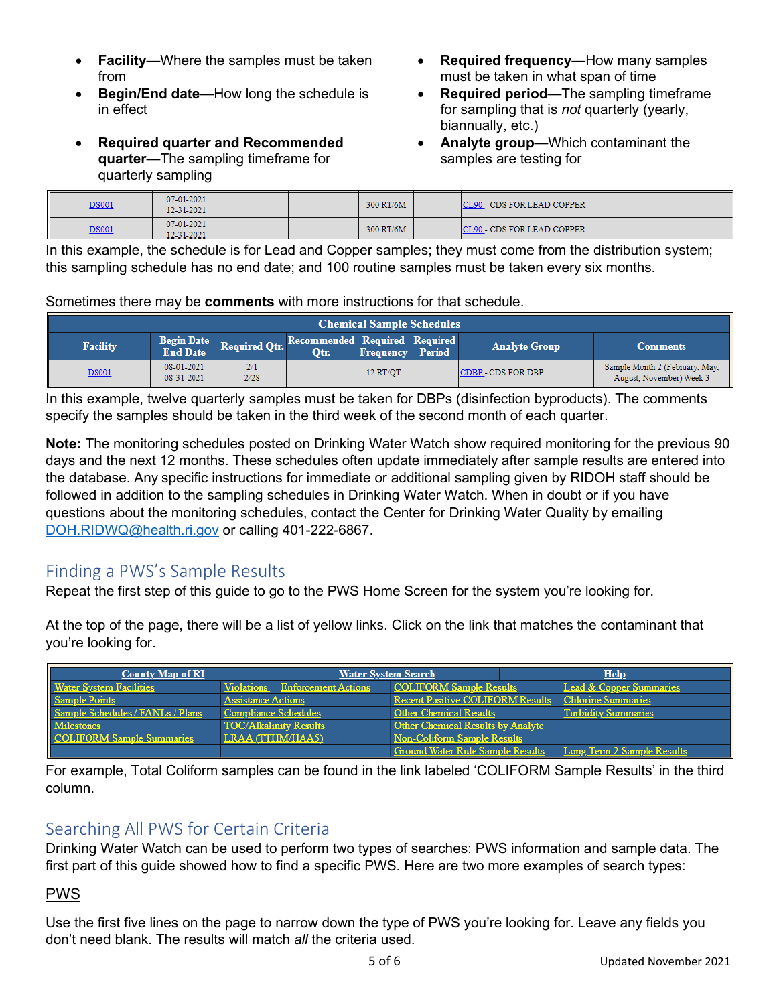- **Facility**—Where the samples must be taken from
- **Begin/End date**—How long the schedule is in effect
- **Required quarter and Recommended quarter**—The sampling timeframe for quarterly sampling
- **Required frequency**—How many samples must be taken in what span of time
- **Required period**—The sampling timeframe for sampling that is *not* quarterly (yearly, biannually, etc.)
- **Analyte group**—Which contaminant the samples are testing for

| <b>DS001</b> | 07-01-2021<br>12-31-2021 |  | 300 RT/6M | ICL90 - CDS FOR LEAD COPPER |  |
|--------------|--------------------------|--|-----------|-----------------------------|--|
| <b>DS001</b> | 07-01-2021<br>12-31-2021 |  | 300 RT/6M | CL90 - CDS FOR LEAD COPPER  |  |

In this example, the schedule is for Lead and Copper samples; they must come from the distribution system; this sampling schedule has no end date; and 100 routine samples must be taken every six months.

#### Sometimes there may be **comments** with more instructions for that schedule.

| <b>Chemical Sample Schedules</b> |                                      |                      |                                       |                  |               |                           |                                                            |
|----------------------------------|--------------------------------------|----------------------|---------------------------------------|------------------|---------------|---------------------------|------------------------------------------------------------|
| <b>Facility</b>                  | <b>Begin Date</b><br><b>End Date</b> | <b>Required Otr.</b> | Recommended Required Required<br>Otr. | <b>Frequency</b> | <b>Period</b> | <b>Analyte Group</b>      | <b>Comments</b>                                            |
| <b>DS001</b>                     | 08-01-2021<br>08-31-2021             | 2/1<br>2/28          |                                       | 12 RT/OT         |               | <b>CDBP - CDS FOR DBP</b> | Sample Month 2 (February, May,<br>August, November) Week 3 |

In this example, twelve quarterly samples must be taken for DBPs (disinfection byproducts). The comments specify the samples should be taken in the third week of the second month of each quarter.

**Note:** The monitoring schedules posted on Drinking Water Watch show required monitoring for the previous 90 days and the next 12 months. These schedules often update immediately after sample results are entered into the database. Any specific instructions for immediate or additional sampling given by RIDOH staff should be followed in addition to the sampling schedules in Drinking Water Watch. When in doubt or if you have questions about the monitoring schedules, contact the Center for Drinking Water Quality by emailing [DOH.RIDWQ@health.ri.gov](mailto:DOH.RIDWQ@health.ri.gov) or calling 401-222-6867.

## <span id="page-4-0"></span>Finding a PWS's Sample Results

Repeat the first step of this guide to go to the PWS Home Screen for the system you're looking for.

At the top of the page, there will be a list of yellow links. Click on the link that matches the contaminant that you're looking for.

| <b>County Map of RI</b>          |                                | <b>Water System Search</b>              | <b>Help</b>                        |
|----------------------------------|--------------------------------|-----------------------------------------|------------------------------------|
| <b>Water System Facilities</b>   | Violations Enforcement Actions | <b>COLIFORM Sample Results</b>          | <b>Lead &amp; Copper Summaries</b> |
| <b>Sample Points</b>             | <b>Assistance Actions</b>      | <b>Recent Positive COLIFORM Results</b> | <b>Chlorine Summaries</b>          |
| Sample Schedules / FANLs / Plans | Compliance Schedules           | <b>Other Chemical Results</b>           | <b>Turbidity Summaries</b>         |
| <b>Milestones</b>                | <b>TOC/Alkalinity Results</b>  | Other Chemical Results by Analyte       |                                    |
| <b>COLIFORM Sample Summaries</b> | LRAA (TTHM/HAA5)               | <b>Non-Coliform Sample Results</b>      |                                    |
|                                  |                                | <b>Ground Water Rule Sample Results</b> | <b>Long Term 2 Sample Results</b>  |

<span id="page-4-1"></span>For example, Total Coliform samples can be found in the link labeled 'COLIFORM Sample Results' in the third column.

# Searching All PWS for Certain Criteria

Drinking Water Watch can be used to perform two types of searches: PWS information and sample data. The first part of this guide showed how to find a specific PWS. Here are two more examples of search types:

## PWS

Use the first five lines on the page to narrow down the type of PWS you're looking for. Leave any fields you don't need blank. The results will match *all* the criteria used.